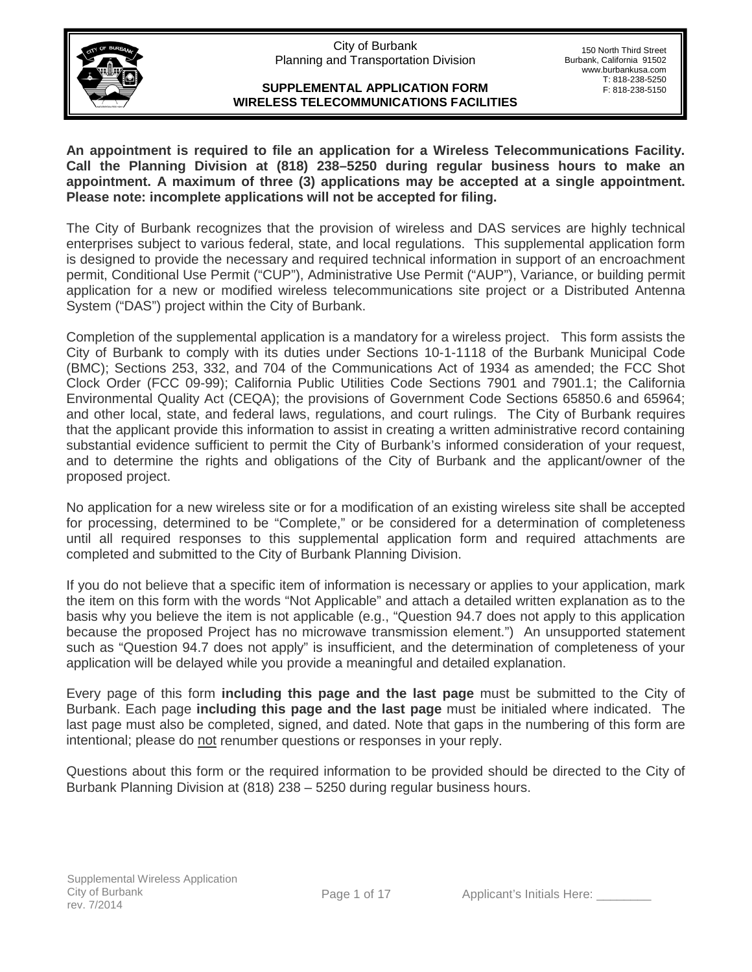City of Burbank Planning and Transportation Division



150 North Third Street Burbank, California 91502 www.burbankusa.com T: 818-238-5250 F: 818-238-5150

#### **SUPPLEMENTAL APPLICATION FORM WIRELESS TELECOMMUNICATIONS FACILITIES**

**An appointment is required to file an application for a Wireless Telecommunications Facility. Call the Planning Division at (818) 238–5250 during regular business hours to make an appointment. A maximum of three (3) applications may be accepted at a single appointment. Please note: incomplete applications will not be accepted for filing.** 

The City of Burbank recognizes that the provision of wireless and DAS services are highly technical enterprises subject to various federal, state, and local regulations. This supplemental application form is designed to provide the necessary and required technical information in support of an encroachment permit, Conditional Use Permit ("CUP"), Administrative Use Permit ("AUP"), Variance, or building permit application for a new or modified wireless telecommunications site project or a Distributed Antenna System ("DAS") project within the City of Burbank.

Completion of the supplemental application is a mandatory for a wireless project. This form assists the City of Burbank to comply with its duties under Sections 10-1-1118 of the Burbank Municipal Code (BMC); Sections 253, 332, and 704 of the Communications Act of 1934 as amended; the FCC Shot Clock Order (FCC 09-99); California Public Utilities Code Sections 7901 and 7901.1; the California Environmental Quality Act (CEQA); the provisions of Government Code Sections 65850.6 and 65964; and other local, state, and federal laws, regulations, and court rulings. The City of Burbank requires that the applicant provide this information to assist in creating a written administrative record containing substantial evidence sufficient to permit the City of Burbank's informed consideration of your request, and to determine the rights and obligations of the City of Burbank and the applicant/owner of the proposed project.

No application for a new wireless site or for a modification of an existing wireless site shall be accepted for processing, determined to be "Complete," or be considered for a determination of completeness until all required responses to this supplemental application form and required attachments are completed and submitted to the City of Burbank Planning Division.

If you do not believe that a specific item of information is necessary or applies to your application, mark the item on this form with the words "Not Applicable" and attach a detailed written explanation as to the basis why you believe the item is not applicable (e.g., "Question 94.7 does not apply to this application because the proposed Project has no microwave transmission element.") An unsupported statement such as "Question 94.7 does not apply" is insufficient, and the determination of completeness of your application will be delayed while you provide a meaningful and detailed explanation.

Every page of this form **including this page and the last page** must be submitted to the City of Burbank. Each page **including this page and the last page** must be initialed where indicated. The last page must also be completed, signed, and dated. Note that gaps in the numbering of this form are intentional; please do not renumber questions or responses in your reply.

Questions about this form or the required information to be provided should be directed to the City of Burbank Planning Division at (818) 238 – 5250 during regular business hours.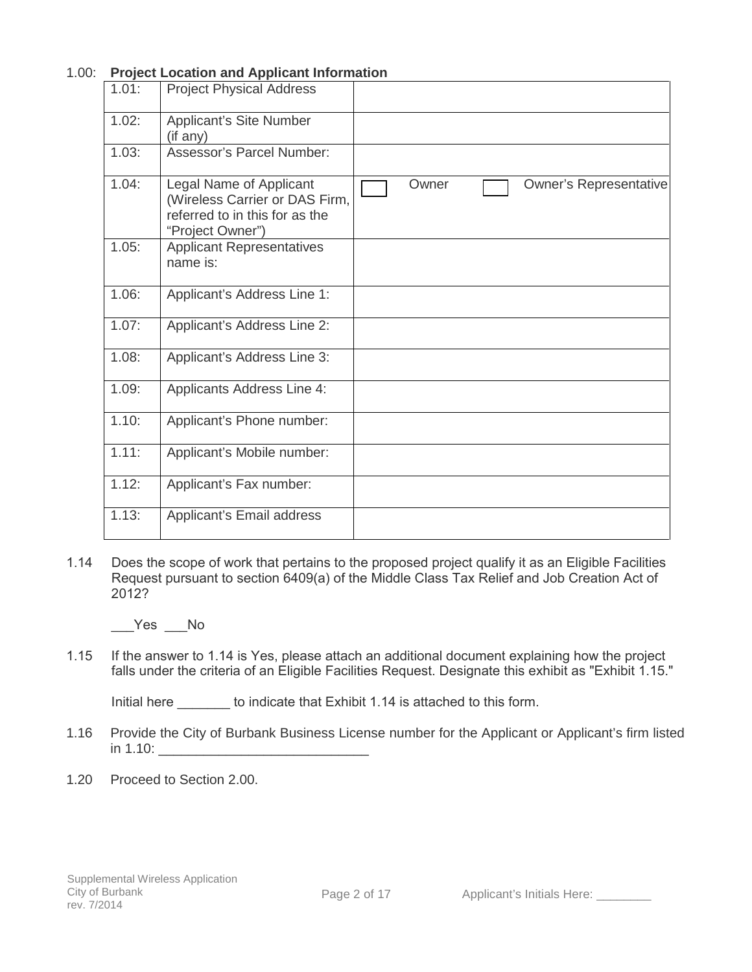|       | Project Location and Applicant information                                                                      |       |                               |
|-------|-----------------------------------------------------------------------------------------------------------------|-------|-------------------------------|
| 1.01: | <b>Project Physical Address</b>                                                                                 |       |                               |
| 1.02: | Applicant's Site Number<br>(i f any)                                                                            |       |                               |
| 1.03: | Assessor's Parcel Number:                                                                                       |       |                               |
| 1.04: | Legal Name of Applicant<br>(Wireless Carrier or DAS Firm,<br>referred to in this for as the<br>"Project Owner") | Owner | <b>Owner's Representative</b> |
| 1.05: | <b>Applicant Representatives</b><br>name is:                                                                    |       |                               |
| 1.06: | Applicant's Address Line 1:                                                                                     |       |                               |
| 1.07: | Applicant's Address Line 2:                                                                                     |       |                               |
| 1.08: | Applicant's Address Line 3:                                                                                     |       |                               |
| 1.09: | <b>Applicants Address Line 4:</b>                                                                               |       |                               |
| 1.10: | Applicant's Phone number:                                                                                       |       |                               |
| 1.11: | Applicant's Mobile number:                                                                                      |       |                               |
| 1.12: | Applicant's Fax number:                                                                                         |       |                               |
| 1.13: | Applicant's Email address                                                                                       |       |                               |

# 1.00: **Project Location and Applicant Information**

1.14 Does the scope of work that pertains to the proposed project qualify it as an Eligible Facilities Request pursuant to section 6409(a) of the Middle Class Tax Relief and Job Creation Act of 2012?

\_\_\_Yes \_\_\_No

1.15 If the answer to 1.14 is Yes, please attach an additional document explaining how the project falls under the criteria of an Eligible Facilities Request. Designate this exhibit as "Exhibit 1.15."

Initial here \_\_\_\_\_\_\_ to indicate that Exhibit 1.14 is attached to this form.

- 1.16 Provide the City of Burbank Business License number for the Applicant or Applicant's firm listed in 1.10: \_\_\_\_\_\_\_\_\_\_\_\_\_\_\_\_\_\_\_\_\_\_\_\_\_\_\_\_
- 1.20 Proceed to Section 2.00.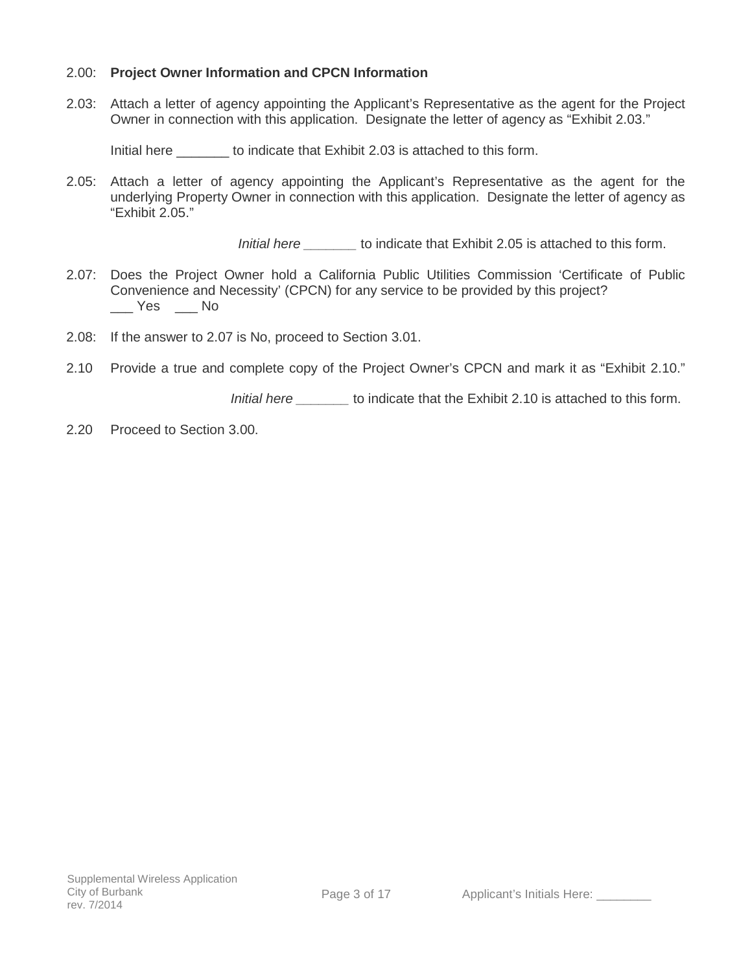### 2.00: **Project Owner Information and CPCN Information**

2.03: Attach a letter of agency appointing the Applicant's Representative as the agent for the Project Owner in connection with this application. Designate the letter of agency as "Exhibit 2.03."

Initial here to indicate that Exhibit 2.03 is attached to this form.

2.05: Attach a letter of agency appointing the Applicant's Representative as the agent for the underlying Property Owner in connection with this application. Designate the letter of agency as "Exhibit 2.05."

*Initial here* to indicate that Exhibit 2.05 is attached to this form.

- 2.07: Does the Project Owner hold a California Public Utilities Commission 'Certificate of Public Convenience and Necessity' (CPCN) for any service to be provided by this project?  $\sqrt{Y}$ es  $\sqrt{Y}$ No
- 2.08: If the answer to 2.07 is No, proceed to Section 3.01.
- 2.10 Provide a true and complete copy of the Project Owner's CPCN and mark it as "Exhibit 2.10."

 *Initial here \_\_\_\_\_\_\_* to indicate that the Exhibit 2.10 is attached to this form.

2.20 Proceed to Section 3.00.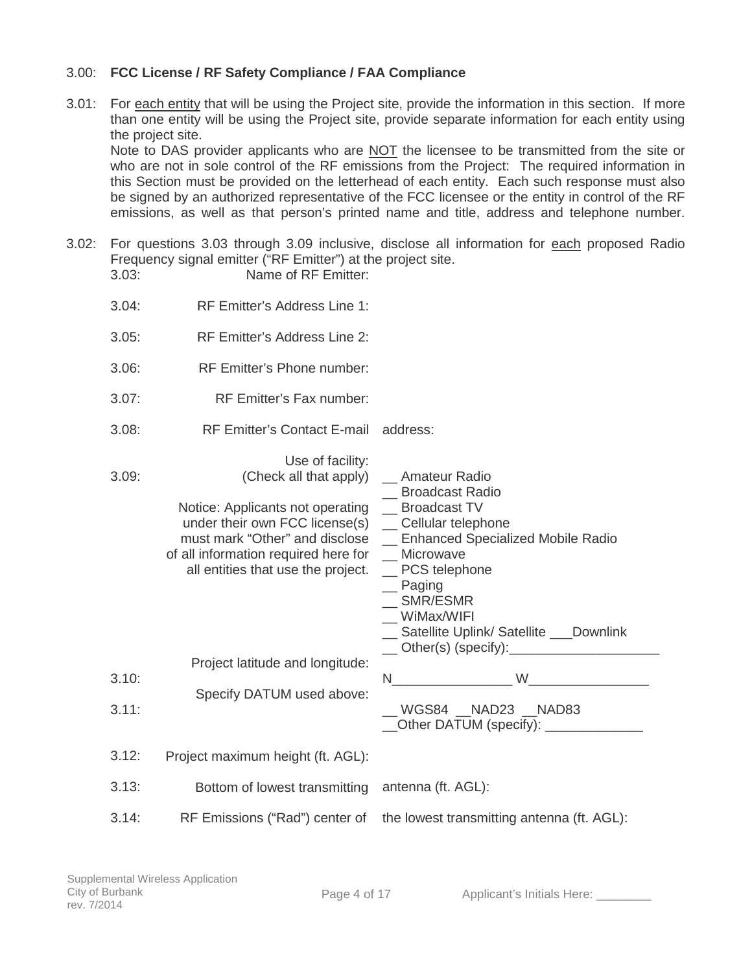## 3.00: **FCC License / RF Safety Compliance / FAA Compliance**

3.01: For each entity that will be using the Project site, provide the information in this section. If more than one entity will be using the Project site, provide separate information for each entity using the project site.

Note to DAS provider applicants who are NOT the licensee to be transmitted from the site or who are not in sole control of the RF emissions from the Project: The required information in this Section must be provided on the letterhead of each entity. Each such response must also be signed by an authorized representative of the FCC licensee or the entity in control of the RF emissions, as well as that person's printed name and title, address and telephone number.

3.02: For questions 3.03 through 3.09 inclusive, disclose all information for each proposed Radio Frequency signal emitter ("RF Emitter") at the project site. 3.03: Name of RF Emitter:

| 3.04: | RF Emitter's Address Line 1:                                                                                                                                                                                                                    |                                                                                                                                                                                                                                |
|-------|-------------------------------------------------------------------------------------------------------------------------------------------------------------------------------------------------------------------------------------------------|--------------------------------------------------------------------------------------------------------------------------------------------------------------------------------------------------------------------------------|
| 3.05: | RF Emitter's Address Line 2:                                                                                                                                                                                                                    |                                                                                                                                                                                                                                |
| 3.06: | RF Emitter's Phone number:                                                                                                                                                                                                                      |                                                                                                                                                                                                                                |
| 3.07: | RF Emitter's Fax number:                                                                                                                                                                                                                        |                                                                                                                                                                                                                                |
| 3.08: | RF Emitter's Contact E-mail address:                                                                                                                                                                                                            |                                                                                                                                                                                                                                |
| 3.09: | Use of facility:<br>(Check all that apply)<br>Notice: Applicants not operating _ Broadcast TV<br>under their own FCC license(s)<br>must mark "Other" and disclose<br>of all information required here for<br>all entities that use the project. | _ Amateur Radio<br>_ Broadcast Radio<br>_ Cellular telephone<br>_ Enhanced Specialized Mobile Radio<br>_ Microwave<br>_ PCS telephone<br>$\equiv$ Paging<br>SMR/ESMR<br>WiMax/WIFI<br>_ Satellite Uplink/ Satellite _ Downlink |
| 3.10: | Project latitude and longitude:                                                                                                                                                                                                                 | $N$ and $N$ and $N$ and $N$ and $N$ and $N$ and $N$ and $N$ and $N$ and $N$ and $N$ and $N$ and $N$ and $N$ and $N$ and $N$ and $N$ and $N$ and $N$ and $N$ and $N$ and $N$ and $N$ and $N$ and $N$ and $N$ and $N$ and $N$ a  |
| 3.11: | Specify DATUM used above:                                                                                                                                                                                                                       | __ WGS84 __ NAD23 __ NAD83<br>Other DATUM (specify): <u>Community of</u>                                                                                                                                                       |
| 3.12: | Project maximum height (ft. AGL):                                                                                                                                                                                                               |                                                                                                                                                                                                                                |
| 3.13: | Bottom of lowest transmitting                                                                                                                                                                                                                   | antenna (ft. AGL):                                                                                                                                                                                                             |
| 3.14: | RF Emissions ("Rad") center of                                                                                                                                                                                                                  | the lowest transmitting antenna (ft. AGL):                                                                                                                                                                                     |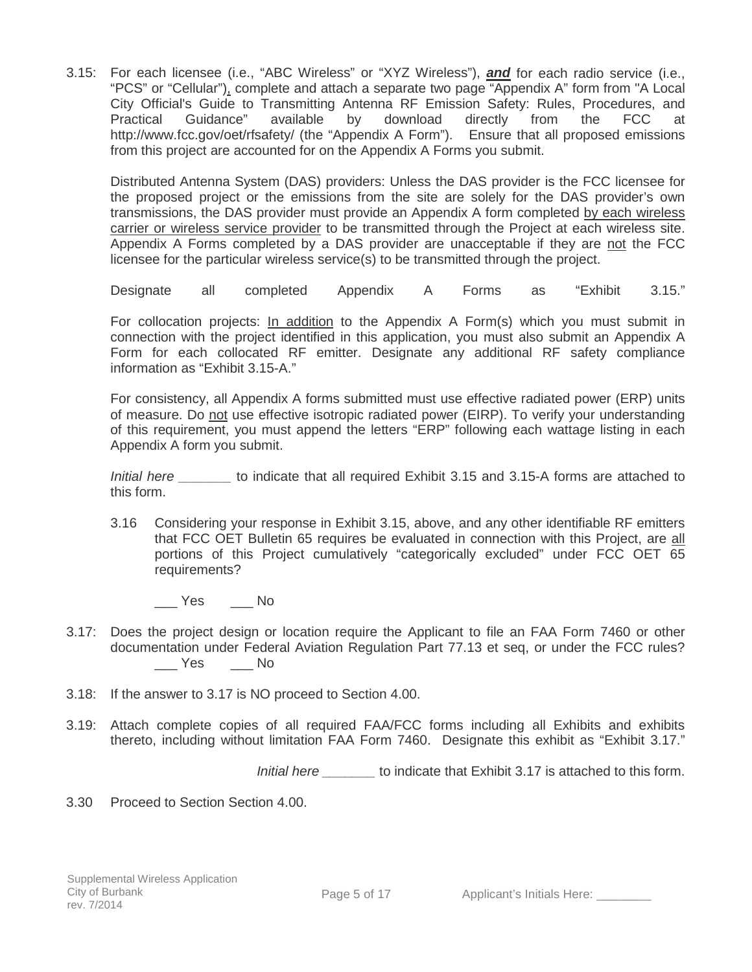3.15: For each licensee (i.e., "ABC Wireless" or "XYZ Wireless"), *and* for each radio service (i.e., "PCS" or "Cellular"), complete and attach a separate two page "Appendix A" form from "A Local City Official's Guide to Transmitting Antenna RF Emission Safety: Rules, Procedures, and Practical Guidance" available by download directly from the FCC at http://www.fcc.gov/oet/rfsafety/ (the "Appendix A Form"). Ensure that all proposed emissions from this project are accounted for on the Appendix A Forms you submit.

Distributed Antenna System (DAS) providers: Unless the DAS provider is the FCC licensee for the proposed project or the emissions from the site are solely for the DAS provider's own transmissions, the DAS provider must provide an Appendix A form completed by each wireless carrier or wireless service provider to be transmitted through the Project at each wireless site. Appendix A Forms completed by a DAS provider are unacceptable if they are not the FCC licensee for the particular wireless service(s) to be transmitted through the project.

Designate all completed Appendix A Forms as "Exhibit 3.15."

For collocation projects: In addition to the Appendix A Form(s) which you must submit in connection with the project identified in this application, you must also submit an Appendix A Form for each collocated RF emitter. Designate any additional RF safety compliance information as "Exhibit 3.15-A."

For consistency, all Appendix A forms submitted must use effective radiated power (ERP) units of measure. Do not use effective isotropic radiated power (EIRP). To verify your understanding of this requirement, you must append the letters "ERP" following each wattage listing in each Appendix A form you submit.

*Initial here* **b** to indicate that all required Exhibit 3.15 and 3.15-A forms are attached to this form.

3.16 Considering your response in Exhibit 3.15, above, and any other identifiable RF emitters that FCC OET Bulletin 65 requires be evaluated in connection with this Project, are all portions of this Project cumulatively "categorically excluded" under FCC OET 65 requirements?

\_\_\_ Yes \_\_\_ No

- 3.17: Does the project design or location require the Applicant to file an FAA Form 7460 or other documentation under Federal Aviation Regulation Part 77.13 et seq, or under the FCC rules? \_\_\_ Yes \_\_\_ No
- 3.18: If the answer to 3.17 is NO proceed to Section 4.00.
- 3.19: Attach complete copies of all required FAA/FCC forms including all Exhibits and exhibits thereto, including without limitation FAA Form 7460. Designate this exhibit as "Exhibit 3.17."

*Initial here* to indicate that Exhibit 3.17 is attached to this form.

3.30 Proceed to Section Section 4.00.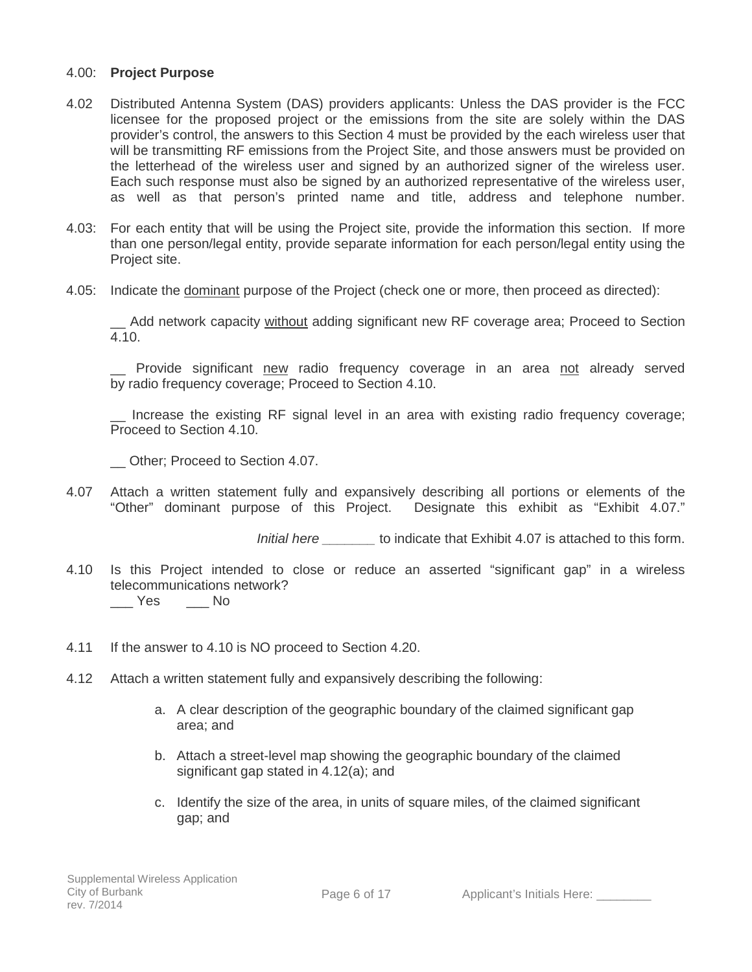### 4.00: **Project Purpose**

- 4.02 Distributed Antenna System (DAS) providers applicants: Unless the DAS provider is the FCC licensee for the proposed project or the emissions from the site are solely within the DAS provider's control, the answers to this Section 4 must be provided by the each wireless user that will be transmitting RF emissions from the Project Site, and those answers must be provided on the letterhead of the wireless user and signed by an authorized signer of the wireless user. Each such response must also be signed by an authorized representative of the wireless user, as well as that person's printed name and title, address and telephone number.
- 4.03: For each entity that will be using the Project site, provide the information this section. If more than one person/legal entity, provide separate information for each person/legal entity using the Project site.
- 4.05: Indicate the dominant purpose of the Project (check one or more, then proceed as directed):

Add network capacity without adding significant new RF coverage area; Proceed to Section 4.10.

Provide significant new radio frequency coverage in an area not already served by radio frequency coverage; Proceed to Section 4.10.

\_\_ Increase the existing RF signal level in an area with existing radio frequency coverage; Proceed to Section 4.10.

\_\_ Other; Proceed to Section 4.07.

4.07 Attach a written statement fully and expansively describing all portions or elements of the "Other" dominant purpose of this Project. Designate this exhibit as "Exhibit 4.07."

*Initial here \_\_\_\_\_\_\_* to indicate that Exhibit 4.07 is attached to this form.

- 4.10 Is this Project intended to close or reduce an asserted "significant gap" in a wireless telecommunications network? \_\_\_ Yes \_\_\_ No
- 4.11 If the answer to 4.10 is NO proceed to Section 4.20.
- 4.12 Attach a written statement fully and expansively describing the following:
	- a. A clear description of the geographic boundary of the claimed significant gap area; and
	- b. Attach a street-level map showing the geographic boundary of the claimed significant gap stated in 4.12(a); and
	- c. Identify the size of the area, in units of square miles, of the claimed significant gap; and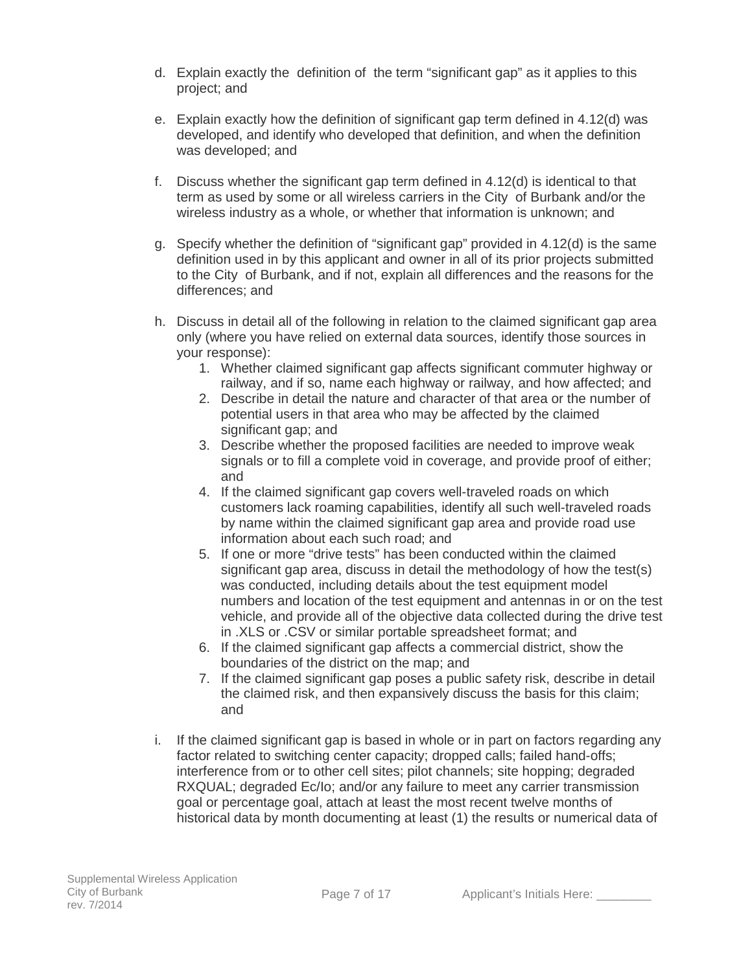- d. Explain exactly the definition of the term "significant gap" as it applies to this project; and
- e. Explain exactly how the definition of significant gap term defined in 4.12(d) was developed, and identify who developed that definition, and when the definition was developed; and
- f. Discuss whether the significant gap term defined in 4.12(d) is identical to that term as used by some or all wireless carriers in the City of Burbank and/or the wireless industry as a whole, or whether that information is unknown; and
- g. Specify whether the definition of "significant gap" provided in 4.12(d) is the same definition used in by this applicant and owner in all of its prior projects submitted to the City of Burbank, and if not, explain all differences and the reasons for the differences; and
- h. Discuss in detail all of the following in relation to the claimed significant gap area only (where you have relied on external data sources, identify those sources in your response):
	- 1. Whether claimed significant gap affects significant commuter highway or railway, and if so, name each highway or railway, and how affected; and
	- 2. Describe in detail the nature and character of that area or the number of potential users in that area who may be affected by the claimed significant gap; and
	- 3. Describe whether the proposed facilities are needed to improve weak signals or to fill a complete void in coverage, and provide proof of either; and
	- 4. If the claimed significant gap covers well-traveled roads on which customers lack roaming capabilities, identify all such well-traveled roads by name within the claimed significant gap area and provide road use information about each such road; and
	- 5. If one or more "drive tests" has been conducted within the claimed significant gap area, discuss in detail the methodology of how the test(s) was conducted, including details about the test equipment model numbers and location of the test equipment and antennas in or on the test vehicle, and provide all of the objective data collected during the drive test in .XLS or .CSV or similar portable spreadsheet format; and
	- 6. If the claimed significant gap affects a commercial district, show the boundaries of the district on the map; and
	- 7. If the claimed significant gap poses a public safety risk, describe in detail the claimed risk, and then expansively discuss the basis for this claim; and
- i. If the claimed significant gap is based in whole or in part on factors regarding any factor related to switching center capacity; dropped calls; failed hand-offs; interference from or to other cell sites; pilot channels; site hopping; degraded RXQUAL; degraded Ec/Io; and/or any failure to meet any carrier transmission goal or percentage goal, attach at least the most recent twelve months of historical data by month documenting at least (1) the results or numerical data of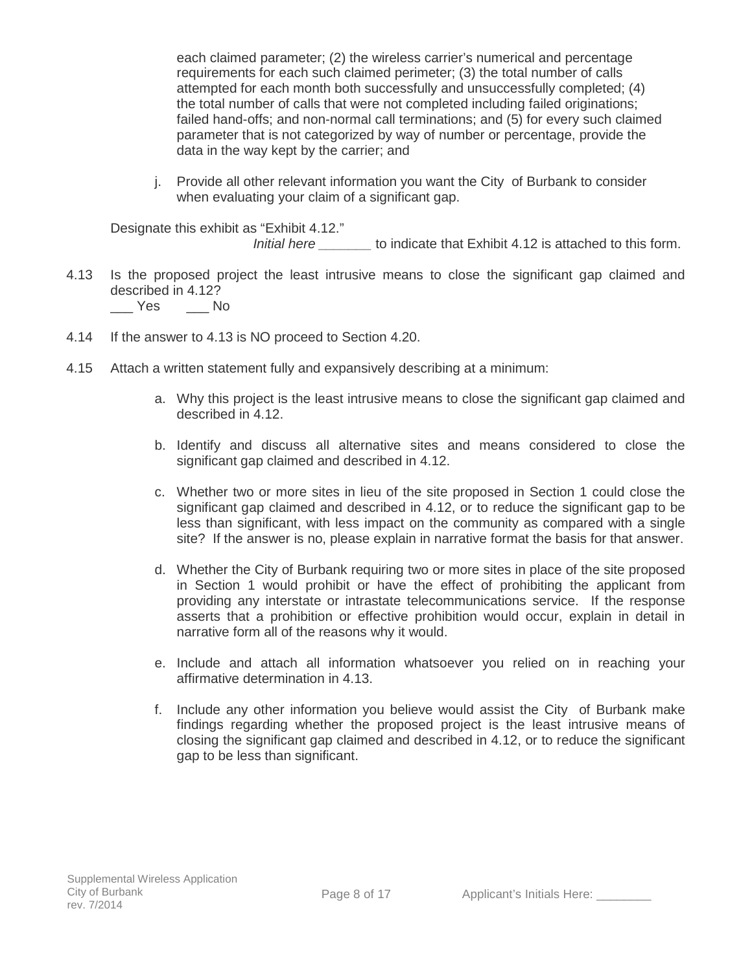each claimed parameter; (2) the wireless carrier's numerical and percentage requirements for each such claimed perimeter; (3) the total number of calls attempted for each month both successfully and unsuccessfully completed; (4) the total number of calls that were not completed including failed originations; failed hand-offs; and non-normal call terminations; and (5) for every such claimed parameter that is not categorized by way of number or percentage, provide the data in the way kept by the carrier; and

j. Provide all other relevant information you want the City of Burbank to consider when evaluating your claim of a significant gap.

Designate this exhibit as "Exhibit 4.12." *Initial here* to indicate that Exhibit 4.12 is attached to this form.

- 4.13 Is the proposed project the least intrusive means to close the significant gap claimed and described in 4.12? \_\_\_ Yes \_\_\_ No
- 4.14 If the answer to 4.13 is NO proceed to Section 4.20.
- 4.15 Attach a written statement fully and expansively describing at a minimum:
	- a. Why this project is the least intrusive means to close the significant gap claimed and described in 4.12.
	- b. Identify and discuss all alternative sites and means considered to close the significant gap claimed and described in 4.12.
	- c. Whether two or more sites in lieu of the site proposed in Section 1 could close the significant gap claimed and described in 4.12, or to reduce the significant gap to be less than significant, with less impact on the community as compared with a single site? If the answer is no, please explain in narrative format the basis for that answer.
	- d. Whether the City of Burbank requiring two or more sites in place of the site proposed in Section 1 would prohibit or have the effect of prohibiting the applicant from providing any interstate or intrastate telecommunications service. If the response asserts that a prohibition or effective prohibition would occur, explain in detail in narrative form all of the reasons why it would.
	- e. Include and attach all information whatsoever you relied on in reaching your affirmative determination in 4.13.
	- f. Include any other information you believe would assist the City of Burbank make findings regarding whether the proposed project is the least intrusive means of closing the significant gap claimed and described in 4.12, or to reduce the significant gap to be less than significant.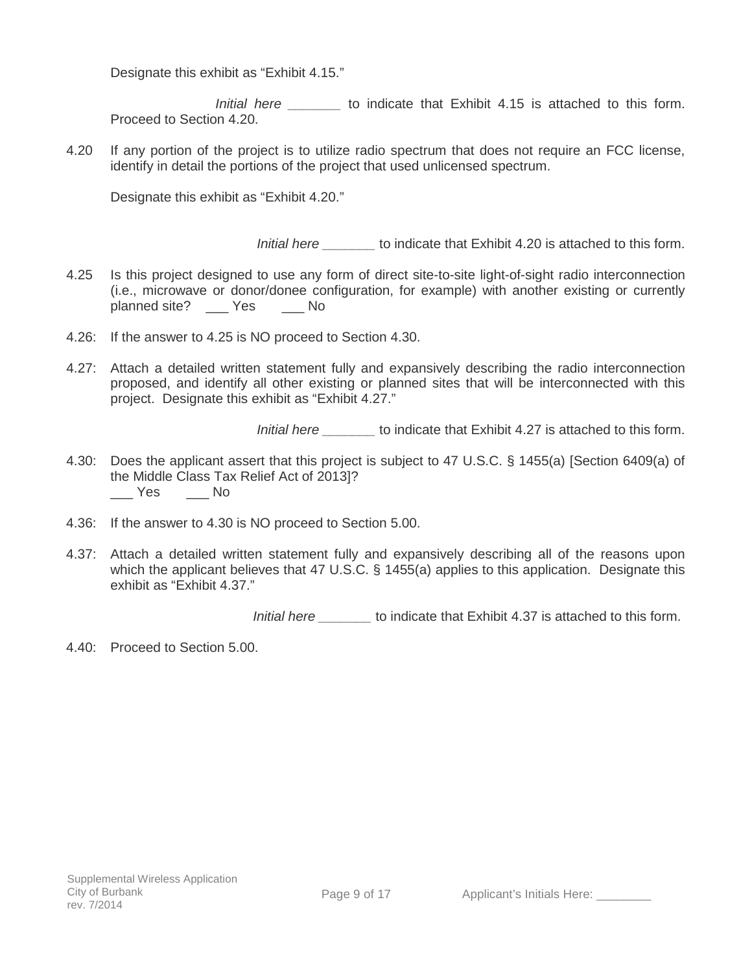Designate this exhibit as "Exhibit 4.15."

*Initial here* **b** to indicate that Exhibit 4.15 is attached to this form. Proceed to Section 4.20.

4.20 If any portion of the project is to utilize radio spectrum that does not require an FCC license, identify in detail the portions of the project that used unlicensed spectrum.

Designate this exhibit as "Exhibit 4.20."

*Initial here \_\_\_\_\_\_\_* to indicate that Exhibit 4.20 is attached to this form.

- 4.25 Is this project designed to use any form of direct site-to-site light-of-sight radio interconnection (i.e., microwave or donor/donee configuration, for example) with another existing or currently planned site? \_\_\_ Yes \_\_\_ No
- 4.26: If the answer to 4.25 is NO proceed to Section 4.30.
- 4.27: Attach a detailed written statement fully and expansively describing the radio interconnection proposed, and identify all other existing or planned sites that will be interconnected with this project. Designate this exhibit as "Exhibit 4.27."

*Initial here* to indicate that Exhibit 4.27 is attached to this form.

- 4.30: Does the applicant assert that this project is subject to 47 U.S.C. § 1455(a) [Section 6409(a) of the Middle Class Tax Relief Act of 2013]?  $\_\_\$  Yes  $\_\_\_\$  No
- 4.36: If the answer to 4.30 is NO proceed to Section 5.00.
- 4.37: Attach a detailed written statement fully and expansively describing all of the reasons upon which the applicant believes that 47 U.S.C. § 1455(a) applies to this application. Designate this exhibit as "Exhibit 4.37."

*Initial here \_\_\_\_\_\_\_* to indicate that Exhibit 4.37 is attached to this form.

4.40: Proceed to Section 5.00.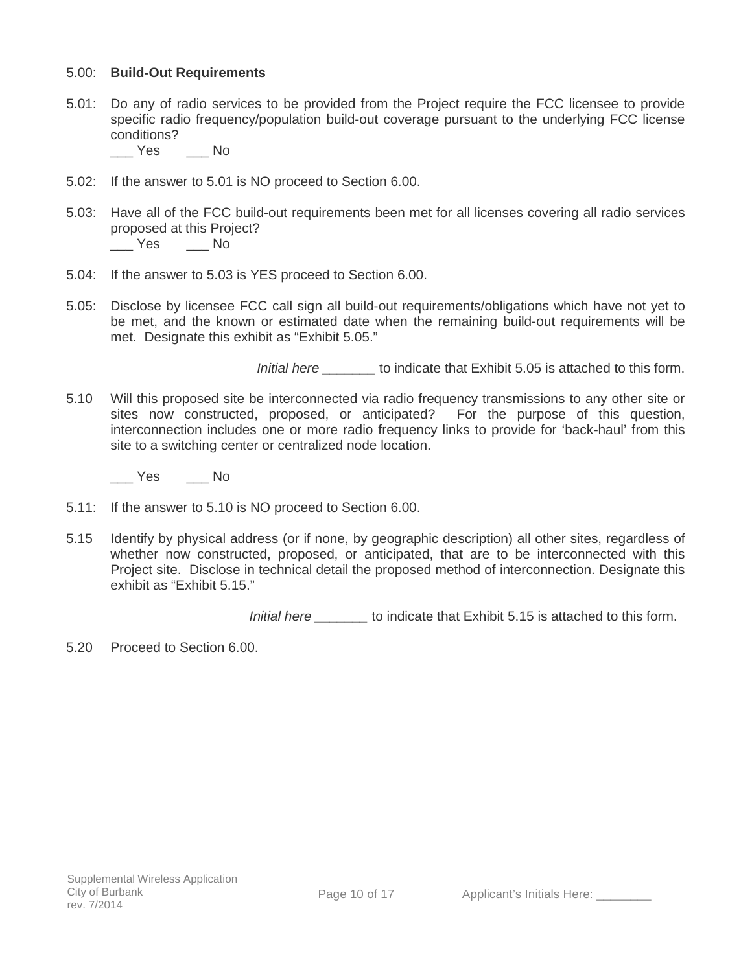### 5.00: **Build-Out Requirements**

5.01: Do any of radio services to be provided from the Project require the FCC licensee to provide specific radio frequency/population build-out coverage pursuant to the underlying FCC license conditions?

\_\_\_ Yes \_\_\_ No

- 5.02: If the answer to 5.01 is NO proceed to Section 6.00.
- 5.03: Have all of the FCC build-out requirements been met for all licenses covering all radio services proposed at this Project? \_\_\_ Yes \_\_\_ No
- 5.04: If the answer to 5.03 is YES proceed to Section 6.00.
- 5.05: Disclose by licensee FCC call sign all build-out requirements/obligations which have not yet to be met, and the known or estimated date when the remaining build-out requirements will be met. Designate this exhibit as "Exhibit 5.05."

*Initial here* to indicate that Exhibit 5.05 is attached to this form.

5.10 Will this proposed site be interconnected via radio frequency transmissions to any other site or sites now constructed, proposed, or anticipated? For the purpose of this question, interconnection includes one or more radio frequency links to provide for 'back-haul' from this site to a switching center or centralized node location.

\_\_\_ Yes \_\_\_ No

- 5.11: If the answer to 5.10 is NO proceed to Section 6.00.
- 5.15 Identify by physical address (or if none, by geographic description) all other sites, regardless of whether now constructed, proposed, or anticipated, that are to be interconnected with this Project site. Disclose in technical detail the proposed method of interconnection. Designate this exhibit as "Exhibit 5.15."

*Initial here \_\_\_\_\_\_\_* to indicate that Exhibit 5.15 is attached to this form.

5.20 Proceed to Section 6.00.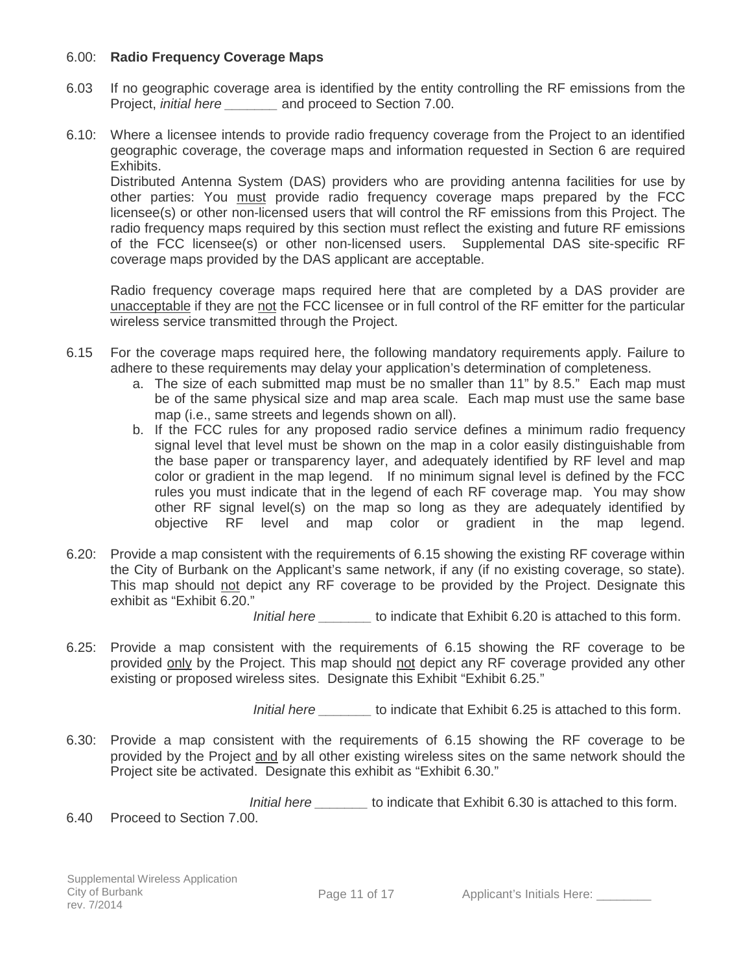### 6.00: **Radio Frequency Coverage Maps**

- 6.03 If no geographic coverage area is identified by the entity controlling the RF emissions from the Project, *initial here \_\_\_\_\_\_\_* and proceed to Section 7.00.
- 6.10: Where a licensee intends to provide radio frequency coverage from the Project to an identified geographic coverage, the coverage maps and information requested in Section 6 are required Exhibits.

Distributed Antenna System (DAS) providers who are providing antenna facilities for use by other parties: You must provide radio frequency coverage maps prepared by the FCC licensee(s) or other non-licensed users that will control the RF emissions from this Project. The radio frequency maps required by this section must reflect the existing and future RF emissions of the FCC licensee(s) or other non-licensed users. Supplemental DAS site-specific RF coverage maps provided by the DAS applicant are acceptable.

Radio frequency coverage maps required here that are completed by a DAS provider are unacceptable if they are not the FCC licensee or in full control of the RF emitter for the particular wireless service transmitted through the Project.

- 6.15 For the coverage maps required here, the following mandatory requirements apply. Failure to adhere to these requirements may delay your application's determination of completeness.
	- a. The size of each submitted map must be no smaller than 11" by 8.5." Each map must be of the same physical size and map area scale. Each map must use the same base map (i.e., same streets and legends shown on all).
	- b. If the FCC rules for any proposed radio service defines a minimum radio frequency signal level that level must be shown on the map in a color easily distinguishable from the base paper or transparency layer, and adequately identified by RF level and map color or gradient in the map legend. If no minimum signal level is defined by the FCC rules you must indicate that in the legend of each RF coverage map. You may show other RF signal level(s) on the map so long as they are adequately identified by objective RF level and map color or gradient in the map legend.
- 6.20: Provide a map consistent with the requirements of 6.15 showing the existing RF coverage within the City of Burbank on the Applicant's same network, if any (if no existing coverage, so state). This map should not depict any RF coverage to be provided by the Project. Designate this exhibit as "Exhibit 6.20."

 *Initial here \_\_\_\_\_\_\_* to indicate that Exhibit 6.20 is attached to this form.

6.25: Provide a map consistent with the requirements of 6.15 showing the RF coverage to be provided only by the Project. This map should not depict any RF coverage provided any other existing or proposed wireless sites. Designate this Exhibit "Exhibit 6.25."

*Initial here* to indicate that Exhibit 6.25 is attached to this form.

6.30: Provide a map consistent with the requirements of 6.15 showing the RF coverage to be provided by the Project and by all other existing wireless sites on the same network should the Project site be activated. Designate this exhibit as "Exhibit 6.30."

*Initial here* to indicate that Exhibit 6.30 is attached to this form.

6.40 Proceed to Section 7.00.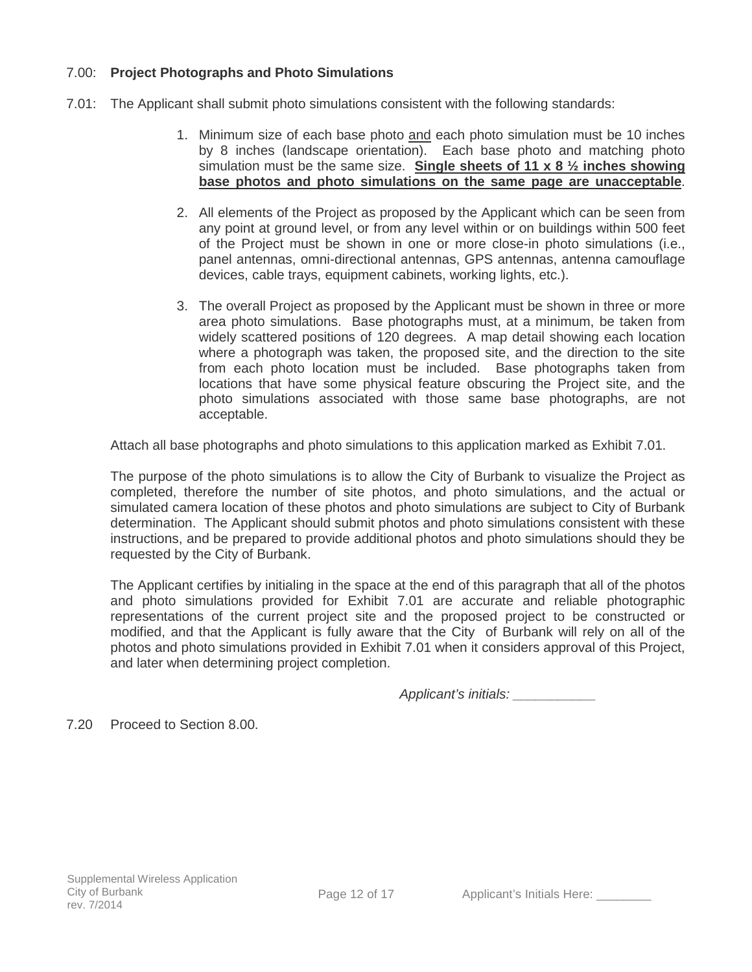# 7.00: **Project Photographs and Photo Simulations**

- 7.01: The Applicant shall submit photo simulations consistent with the following standards:
	- 1. Minimum size of each base photo and each photo simulation must be 10 inches by 8 inches (landscape orientation). Each base photo and matching photo simulation must be the same size. **Single sheets of 11 x 8 ½ inches showing base photos and photo simulations on the same page are unacceptable**.
	- 2. All elements of the Project as proposed by the Applicant which can be seen from any point at ground level, or from any level within or on buildings within 500 feet of the Project must be shown in one or more close-in photo simulations (i.e., panel antennas, omni-directional antennas, GPS antennas, antenna camouflage devices, cable trays, equipment cabinets, working lights, etc.).
	- 3. The overall Project as proposed by the Applicant must be shown in three or more area photo simulations. Base photographs must, at a minimum, be taken from widely scattered positions of 120 degrees. A map detail showing each location where a photograph was taken, the proposed site, and the direction to the site from each photo location must be included. Base photographs taken from locations that have some physical feature obscuring the Project site, and the photo simulations associated with those same base photographs, are not acceptable.

Attach all base photographs and photo simulations to this application marked as Exhibit 7.01.

The purpose of the photo simulations is to allow the City of Burbank to visualize the Project as completed, therefore the number of site photos, and photo simulations, and the actual or simulated camera location of these photos and photo simulations are subject to City of Burbank determination. The Applicant should submit photos and photo simulations consistent with these instructions, and be prepared to provide additional photos and photo simulations should they be requested by the City of Burbank.

The Applicant certifies by initialing in the space at the end of this paragraph that all of the photos and photo simulations provided for Exhibit 7.01 are accurate and reliable photographic representations of the current project site and the proposed project to be constructed or modified, and that the Applicant is fully aware that the City of Burbank will rely on all of the photos and photo simulations provided in Exhibit 7.01 when it considers approval of this Project, and later when determining project completion.

 *Applicant's initials: \_\_\_\_\_\_\_\_\_\_\_* 

7.20 Proceed to Section 8.00.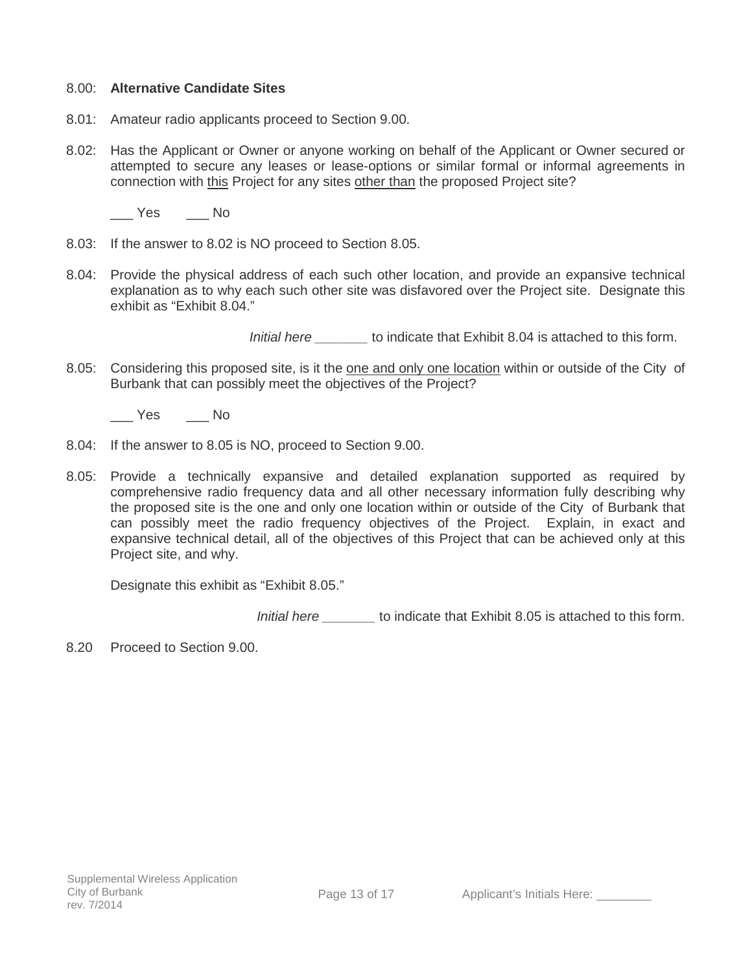#### 8.00: **Alternative Candidate Sites**

- 8.01: Amateur radio applicants proceed to Section 9.00.
- 8.02: Has the Applicant or Owner or anyone working on behalf of the Applicant or Owner secured or attempted to secure any leases or lease-options or similar formal or informal agreements in connection with this Project for any sites other than the proposed Project site?

\_\_\_ Yes \_\_\_ No

- 8.03: If the answer to 8.02 is NO proceed to Section 8.05.
- 8.04: Provide the physical address of each such other location, and provide an expansive technical explanation as to why each such other site was disfavored over the Project site. Designate this exhibit as "Exhibit 8.04."

*Initial here* to indicate that Exhibit 8.04 is attached to this form.

8.05: Considering this proposed site, is it the one and only one location within or outside of the City of Burbank that can possibly meet the objectives of the Project?

\_\_\_ Yes \_\_\_ No

- 8.04: If the answer to 8.05 is NO, proceed to Section 9.00.
- 8.05: Provide a technically expansive and detailed explanation supported as required by comprehensive radio frequency data and all other necessary information fully describing why the proposed site is the one and only one location within or outside of the City of Burbank that can possibly meet the radio frequency objectives of the Project. Explain, in exact and expansive technical detail, all of the objectives of this Project that can be achieved only at this Project site, and why.

Designate this exhibit as "Exhibit 8.05."

 *Initial here \_\_\_\_\_\_\_* to indicate that Exhibit 8.05 is attached to this form.

8.20 Proceed to Section 9.00.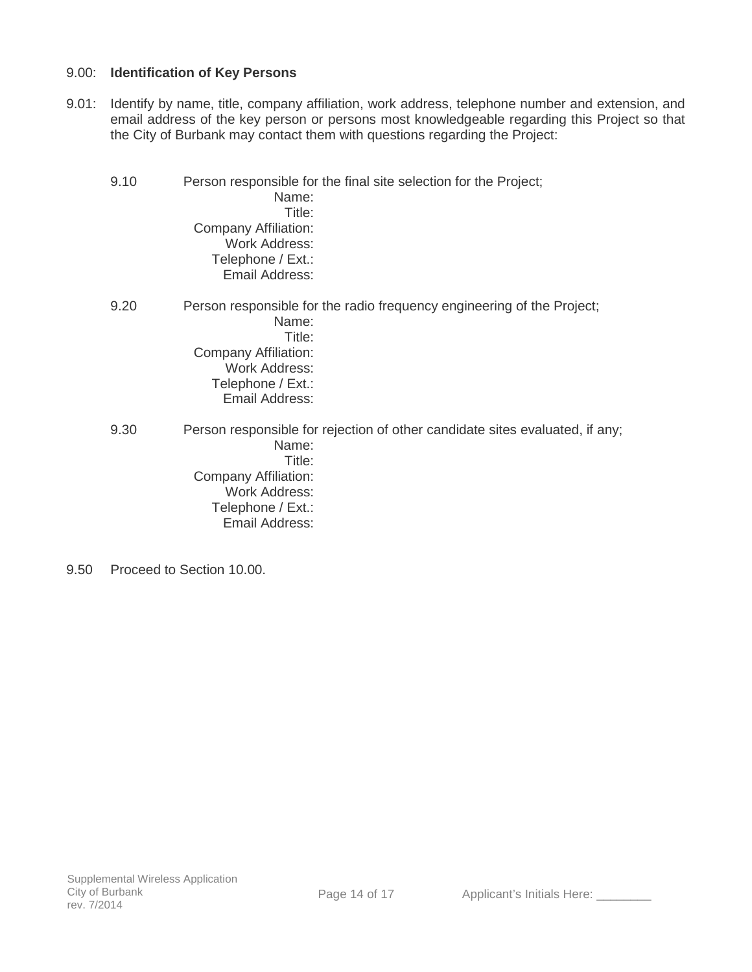## 9.00: **Identification of Key Persons**

9.01: Identify by name, title, company affiliation, work address, telephone number and extension, and email address of the key person or persons most knowledgeable regarding this Project so that the City of Burbank may contact them with questions regarding the Project:

| 9.10 | Name:<br>Title:<br>Company Affiliation:<br><b>Work Address:</b><br>Telephone / Ext.:<br>Email Address:        | Person responsible for the final site selection for the Project;             |
|------|---------------------------------------------------------------------------------------------------------------|------------------------------------------------------------------------------|
| 9.20 | Name:<br>Title:<br><b>Company Affiliation:</b><br><b>Work Address:</b><br>Telephone / Ext.:<br>Email Address: | Person responsible for the radio frequency engineering of the Project;       |
| 9.30 | Name:<br>Title:<br>Company Affiliation:<br><b>Work Address:</b><br>Telephone / Ext.:<br>Email Address:        | Person responsible for rejection of other candidate sites evaluated, if any; |

9.50 Proceed to Section 10.00.

Page 14 of 17 Applicant's Initials Here: \_\_\_\_\_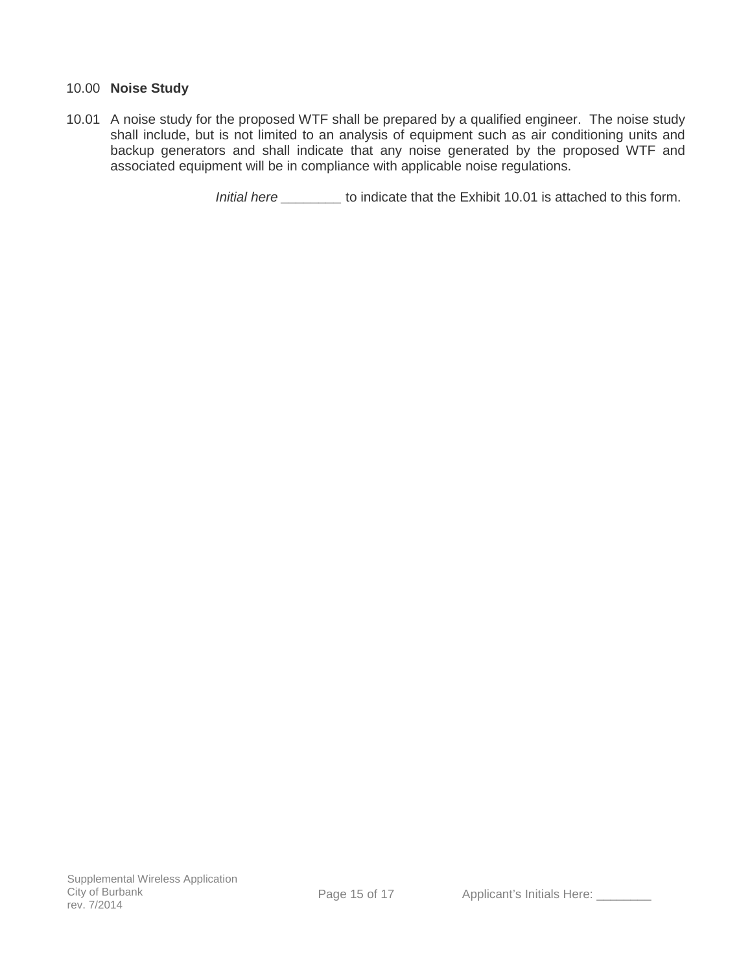### 10.00 **Noise Study**

10.01 A noise study for the proposed WTF shall be prepared by a qualified engineer. The noise study shall include, but is not limited to an analysis of equipment such as air conditioning units and backup generators and shall indicate that any noise generated by the proposed WTF and associated equipment will be in compliance with applicable noise regulations.

 *Initial here \_\_\_\_\_\_\_\_* to indicate that the Exhibit 10.01 is attached to this form.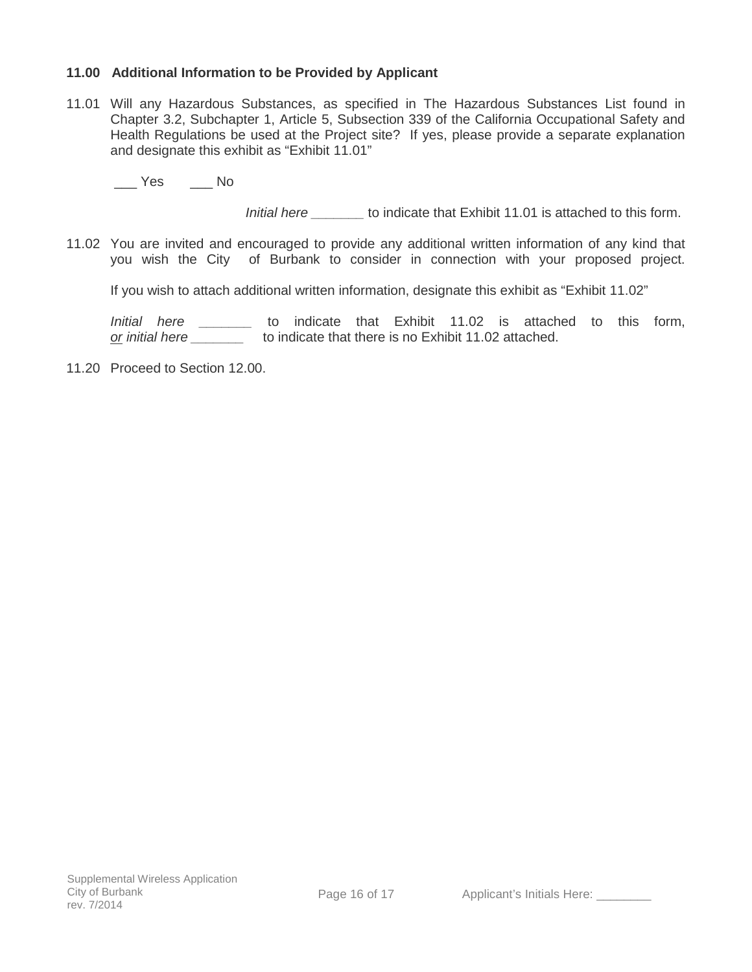### **11.00 Additional Information to be Provided by Applicant**

11.01 Will any Hazardous Substances, as specified in The Hazardous Substances List found in Chapter 3.2, Subchapter 1, Article 5, Subsection 339 of the California Occupational Safety and Health Regulations be used at the Project site? If yes, please provide a separate explanation and designate this exhibit as "Exhibit 11.01"

\_\_\_ Yes \_\_\_ No

*Initial here* to indicate that Exhibit 11.01 is attached to this form.

11.02 You are invited and encouraged to provide any additional written information of any kind that you wish the City of Burbank to consider in connection with your proposed project.

If you wish to attach additional written information, designate this exhibit as "Exhibit 11.02"

*Initial here \_\_\_\_\_\_\_* to indicate that Exhibit 11.02 is attached to this form, *or initial here \_\_\_\_\_\_\_* to indicate that there is no Exhibit 11.02 attached.

11.20 Proceed to Section 12.00.